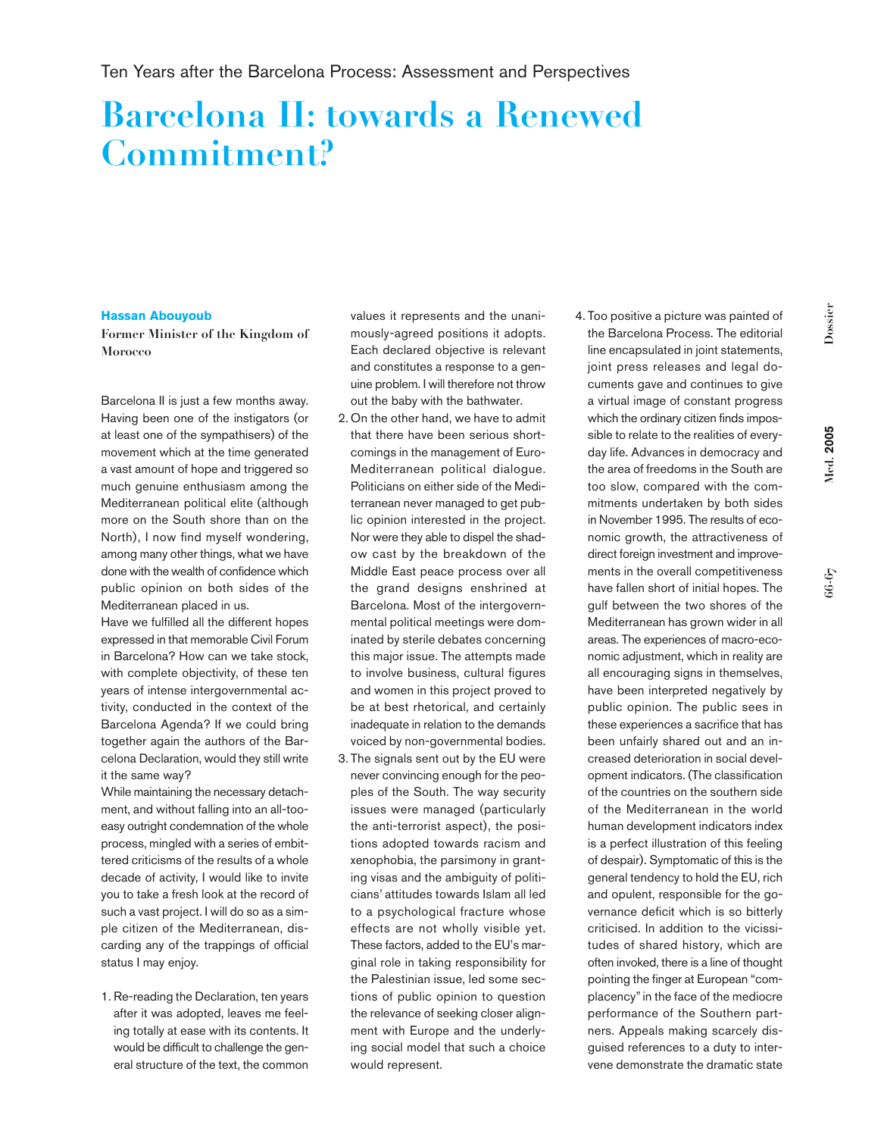# **Barcelona II: towards a Renewed Commitment?**

# **Hassan Abouyoub**

**Former Minister of the Kingdom of Morocco**

Barcelona II is just a few months away. Having been one of the instigators (or at least one of the sympathisers) of the movement which at the time generated a vast amount of hope and triggered so much genuine enthusiasm among the Mediterranean political elite (although more on the South shore than on the North), I now find myself wondering, among many other things, what we have done with the wealth of confidence which public opinion on both sides of the Mediterranean placed in us.

Have we fulfilled all the different hopes expressed in that memorable Civil Forum in Barcelona? How can we take stock, with complete objectivity, of these ten years of intense intergovernmental activity, conducted in the context of the Barcelona Agenda? If we could bring together again the authors of the Barcelona Declaration, would they still write it the same way?

While maintaining the necessary detachment, and without falling into an all-tooeasy outright condemnation of the whole process, mingled with a series of embittered criticisms of the results of a whole decade of activity, I would like to invite you to take a fresh look at the record of such a vast project. I will do so as a simple citizen of the Mediterranean, discarding any of the trappings of official status I may enjoy.

1. Re-reading the Declaration, ten years after it was adopted, leaves me feeling totally at ease with its contents. It would be difficult to challenge the general structure of the text, the common

values it represents and the unanimously-agreed positions it adopts. Each declared objective is relevant and constitutes a response to a genuine problem. I will therefore not throw out the baby with the bathwater.

- 2. On the other hand, we have to admit that there have been serious shortcomings in the management of Euro-Mediterranean political dialogue. Politicians on either side of the Mediterranean never managed to get public opinion interested in the project. Nor were they able to dispel the shadow cast by the breakdown of the Middle East peace process over all the grand designs enshrined at Barcelona. Most of the intergovernmental political meetings were dominated by sterile debates concerning this major issue. The attempts made to involve business, cultural figures and women in this project proved to be at best rhetorical, and certainly inadequate in relation to the demands voiced by non-governmental bodies.
- 3. The signals sent out by the EU were never convincing enough for the peoples of the South. The way security issues were managed (particularly the anti-terrorist aspect), the positions adopted towards racism and xenophobia, the parsimony in granting visas and the ambiguity of politicians' attitudes towards Islam all led to a psychological fracture whose effects are not wholly visible yet. These factors, added to the EU's marginal role in taking responsibility for the Palestinian issue, led some sections of public opinion to question the relevance of seeking closer alignment with Europe and the underlying social model that such a choice would represent.
- 4. Too positive a picture was painted of the Barcelona Process. The editorial line encapsulated in joint statements, joint press releases and legal documents gave and continues to give a virtual image of constant progress which the ordinary citizen finds impossible to relate to the realities of everyday life. Advances in democracy and the area of freedoms in the South are too slow, compared with the commitments undertaken by both sides in November 1995. The results of economic growth, the attractiveness of direct foreign investment and improvements in the overall competitiveness have fallen short of initial hopes. The gulf between the two shores of the Mediterranean has grown wider in all areas. The experiences of macro-economic adjustment, which in reality are all encouraging signs in themselves, have been interpreted negatively by public opinion. The public sees in these experiences a sacrifice that has been unfairly shared out and an increased deterioration in social development indicators. (The classification of the countries on the southern side of the Mediterranean in the world human development indicators index is a perfect illustration of this feeling of despair). Symptomatic of this is the general tendency to hold the EU, rich and opulent, responsible for the governance deficit which is so bitterly criticised. In addition to the vicissitudes of shared history, which are often invoked, there is a line of thought pointing the finger at European "complacency"in the face of the mediocre performance of the Southern partners. Appeals making scarcely disguised references to a duty to intervene demonstrate the dramatic state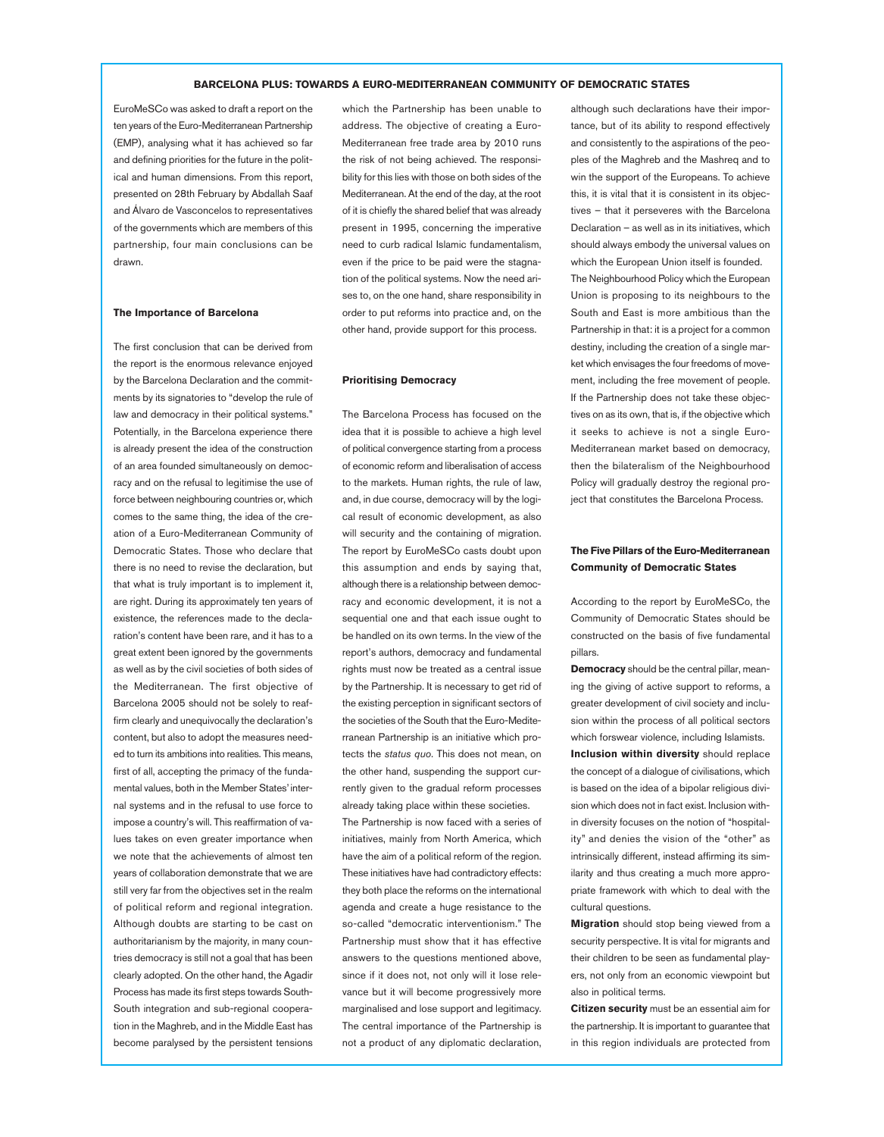### **BARCELONA PLUS: TOWARDS A EURO-MEDITERRANEAN COMMUNITY OF DEMOCRATIC STATES**

EuroMeSCo was asked to draft a report on the ten years of the Euro-Mediterranean Partnership (EMP), analysing what it has achieved so far and defining priorities for the future in the political and human dimensions. From this report, presented on 28th February by Abdallah Saaf and Álvaro de Vasconcelos to representatives of the governments which are members of this partnership, four main conclusions can be drawn.

#### **The Importance of Barcelona**

The first conclusion that can be derived from the report is the enormous relevance enjoyed by the Barcelona Declaration and the commitments by its signatories to "develop the rule of law and democracy in their political systems." Potentially, in the Barcelona experience there is already present the idea of the construction of an area founded simultaneously on democracy and on the refusal to legitimise the use of force between neighbouring countries or, which comes to the same thing, the idea of the creation of a Euro-Mediterranean Community of Democratic States. Those who declare that there is no need to revise the declaration, but that what is truly important is to implement it, are right. During its approximately ten years of existence, the references made to the declaration's content have been rare, and it has to a great extent been ignored by the governments as well as by the civil societies of both sides of the Mediterranean. The first objective of Barcelona 2005 should not be solely to reaffirm clearly and unequivocally the declaration's content, but also to adopt the measures needed to turn its ambitions into realities. This means, first of all, accepting the primacy of the fundamental values, both in the Member States'internal systems and in the refusal to use force to impose a country's will. This reaffirmation of values takes on even greater importance when we note that the achievements of almost ten years of collaboration demonstrate that we are still very far from the objectives set in the realm of political reform and regional integration. Although doubts are starting to be cast on authoritarianism by the majority, in many countries democracy is still not a goal that has been clearly adopted. On the other hand, the Agadir Process has made its first steps towards South-South integration and sub-regional cooperation in the Maghreb, and in the Middle East has become paralysed by the persistent tensions which the Partnership has been unable to address. The objective of creating a Euro-Mediterranean free trade area by 2010 runs the risk of not being achieved. The responsibility for this lies with those on both sides of the Mediterranean. At the end of the day, at the root of it is chiefly the shared belief that was already present in 1995, concerning the imperative need to curb radical Islamic fundamentalism, even if the price to be paid were the stagnation of the political systems. Now the need arises to, on the one hand, share responsibility in order to put reforms into practice and, on the other hand, provide support for this process.

## **Prioritising Democracy**

The Barcelona Process has focused on the idea that it is possible to achieve a high level of political convergence starting from a process of economic reform and liberalisation of access to the markets. Human rights, the rule of law, and, in due course, democracy will by the logical result of economic development, as also will security and the containing of migration. The report by EuroMeSCo casts doubt upon this assumption and ends by saying that, although there is a relationship between democracy and economic development, it is not a sequential one and that each issue ought to be handled on its own terms. In the view of the report's authors, democracy and fundamental rights must now be treated as a central issue by the Partnership. It is necessary to get rid of the existing perception in significant sectors of the societies of the South that the Euro-Mediterranean Partnership is an initiative which protects the *status quo*. This does not mean, on the other hand, suspending the support currently given to the gradual reform processes already taking place within these societies. The Partnership is now faced with a series of initiatives, mainly from North America, which have the aim of a political reform of the region.

These initiatives have had contradictory effects: they both place the reforms on the international agenda and create a huge resistance to the so-called "democratic interventionism." The Partnership must show that it has effective answers to the questions mentioned above, since if it does not, not only will it lose relevance but it will become progressively more marginalised and lose support and legitimacy. The central importance of the Partnership is not a product of any diplomatic declaration,

although such declarations have their importance, but of its ability to respond effectively and consistently to the aspirations of the peoples of the Maghreb and the Mashreq and to win the support of the Europeans. To achieve this, it is vital that it is consistent in its objectives – that it perseveres with the Barcelona Declaration – as well as in its initiatives, which should always embody the universal values on which the European Union itself is founded. The Neighbourhood Policy which the European Union is proposing to its neighbours to the South and East is more ambitious than the Partnership in that: it is a project for a common destiny, including the creation of a single market which envisages the four freedoms of movement, including the free movement of people. If the Partnership does not take these objectives on as its own, that is, if the objective which it seeks to achieve is not a single Euro-Mediterranean market based on democracy, then the bilateralism of the Neighbourhood Policy will gradually destroy the regional project that constitutes the Barcelona Process.

# **The Five Pillars of the Euro-Mediterranean Community of Democratic States**

According to the report by EuroMeSCo, the Community of Democratic States should be constructed on the basis of five fundamental pillars.

**Democracy** should be the central pillar, meaning the giving of active support to reforms, a greater development of civil society and inclusion within the process of all political sectors which forswear violence, including Islamists.

**Inclusion within diversity** should replace the concept of a dialogue of civilisations, which is based on the idea of a bipolar religious division which does not in fact exist. Inclusion within diversity focuses on the notion of "hospitality" and denies the vision of the "other" as intrinsically different, instead affirming its similarity and thus creating a much more appropriate framework with which to deal with the cultural questions.

**Migration** should stop being viewed from a security perspective. It is vital for migrants and their children to be seen as fundamental players, not only from an economic viewpoint but also in political terms.

**Citizen security** must be an essential aim for the partnership. It is important to guarantee that in this region individuals are protected from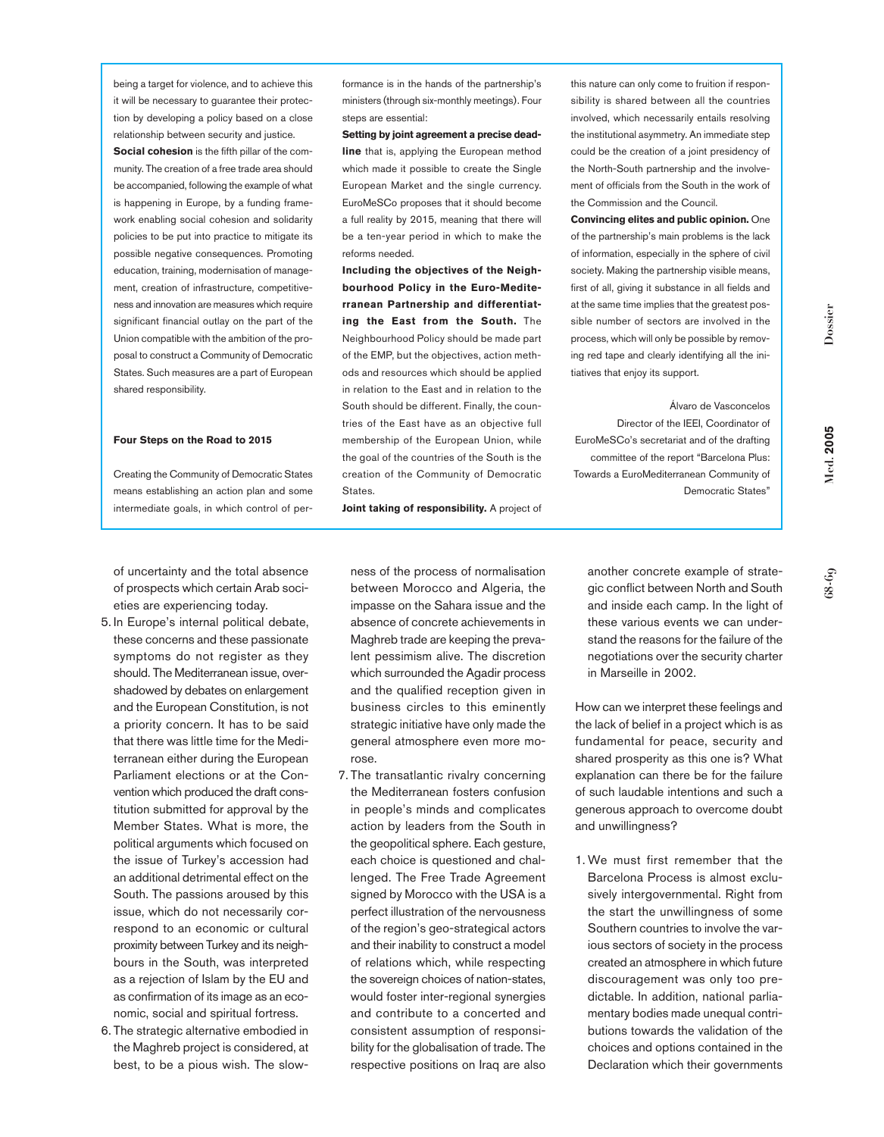**Dossier**

**Med. 2005**

Vled. 2005

being a target for violence, and to achieve this it will be necessary to guarantee their protection by developing a policy based on a close relationship between security and justice.

**Social cohesion** is the fifth pillar of the community. The creation of a free trade area should be accompanied, following the example of what is happening in Europe, by a funding framework enabling social cohesion and solidarity policies to be put into practice to mitigate its possible negative consequences. Promoting education, training, modernisation of management, creation of infrastructure, competitiveness and innovation are measures which require significant financial outlay on the part of the Union compatible with the ambition of the proposal to construct a Community of Democratic States. Such measures are a part of European shared responsibility.

## **Four Steps on the Road to 2015**

Creating the Community of Democratic States means establishing an action plan and some intermediate goals, in which control of performance is in the hands of the partnership's ministers (through six-monthly meetings). Four steps are essential:

**Setting by joint agreement a precise deadline** that is, applying the European method which made it possible to create the Single European Market and the single currency. EuroMeSCo proposes that it should become a full reality by 2015, meaning that there will be a ten-year period in which to make the reforms needed.

**Including the objectives of the Neighbourhood Policy in the Euro-Mediterranean Partnership and differentiating the East from the South.** The Neighbourhood Policy should be made part of the EMP, but the objectives, action methods and resources which should be applied in relation to the East and in relation to the South should be different. Finally, the countries of the East have as an objective full membership of the European Union, while the goal of the countries of the South is the creation of the Community of Democratic States.

**Joint taking of responsibility.** A project of

this nature can only come to fruition if responsibility is shared between all the countries involved, which necessarily entails resolving the institutional asymmetry. An immediate step could be the creation of a joint presidency of the North-South partnership and the involvement of officials from the South in the work of the Commission and the Council.

**Convincing elites and public opinion.** One of the partnership's main problems is the lack of information, especially in the sphere of civil society. Making the partnership visible means, first of all, giving it substance in all fields and at the same time implies that the greatest possible number of sectors are involved in the process, which will only be possible by removing red tape and clearly identifying all the initiatives that enjoy its support.

Álvaro de Vasconcelos Director of the IEEI, Coordinator of EuroMeSCo's secretariat and of the drafting committee of the report "Barcelona Plus: Towards a EuroMediterranean Community of Democratic States"

of uncertainty and the total absence of prospects which certain Arab societies are experiencing today.

- 5. In Europe's internal political debate, these concerns and these passionate symptoms do not register as they should. The Mediterranean issue, overshadowed by debates on enlargement and the European Constitution, is not a priority concern. It has to be said that there was little time for the Mediterranean either during the European Parliament elections or at the Convention which produced the draft constitution submitted for approval by the Member States. What is more, the political arguments which focused on the issue of Turkey's accession had an additional detrimental effect on the South. The passions aroused by this issue, which do not necessarily correspond to an economic or cultural proximity between Turkey and its neighbours in the South, was interpreted as a rejection of Islam by the EU and as confirmation of its image as an economic, social and spiritual fortress.
- 6. The strategic alternative embodied in the Maghreb project is considered, at best, to be a pious wish. The slow-

ness of the process of normalisation between Morocco and Algeria, the impasse on the Sahara issue and the absence of concrete achievements in Maghreb trade are keeping the prevalent pessimism alive. The discretion which surrounded the Agadir process and the qualified reception given in business circles to this eminently strategic initiative have only made the general atmosphere even more morose.

7. The transatlantic rivalry concerning the Mediterranean fosters confusion in people's minds and complicates action by leaders from the South in the geopolitical sphere. Each gesture, each choice is questioned and challenged. The Free Trade Agreement signed by Morocco with the USA is a perfect illustration of the nervousness of the region's geo-strategical actors and their inability to construct a model of relations which, while respecting the sovereign choices of nation-states, would foster inter-regional synergies and contribute to a concerted and consistent assumption of responsibility for the globalisation of trade. The respective positions on Iraq are also

another concrete example of strategic conflict between North and South and inside each camp. In the light of these various events we can understand the reasons for the failure of the negotiations over the security charter in Marseille in 2002.

How can we interpret these feelings and the lack of belief in a project which is as fundamental for peace, security and shared prosperity as this one is? What explanation can there be for the failure of such laudable intentions and such a generous approach to overcome doubt and unwillingness?

1. We must first remember that the Barcelona Process is almost exclusively intergovernmental. Right from the start the unwillingness of some Southern countries to involve the various sectors of society in the process created an atmosphere in which future discouragement was only too predictable. In addition, national parliamentary bodies made unequal contributions towards the validation of the choices and options contained in the Declaration which their governments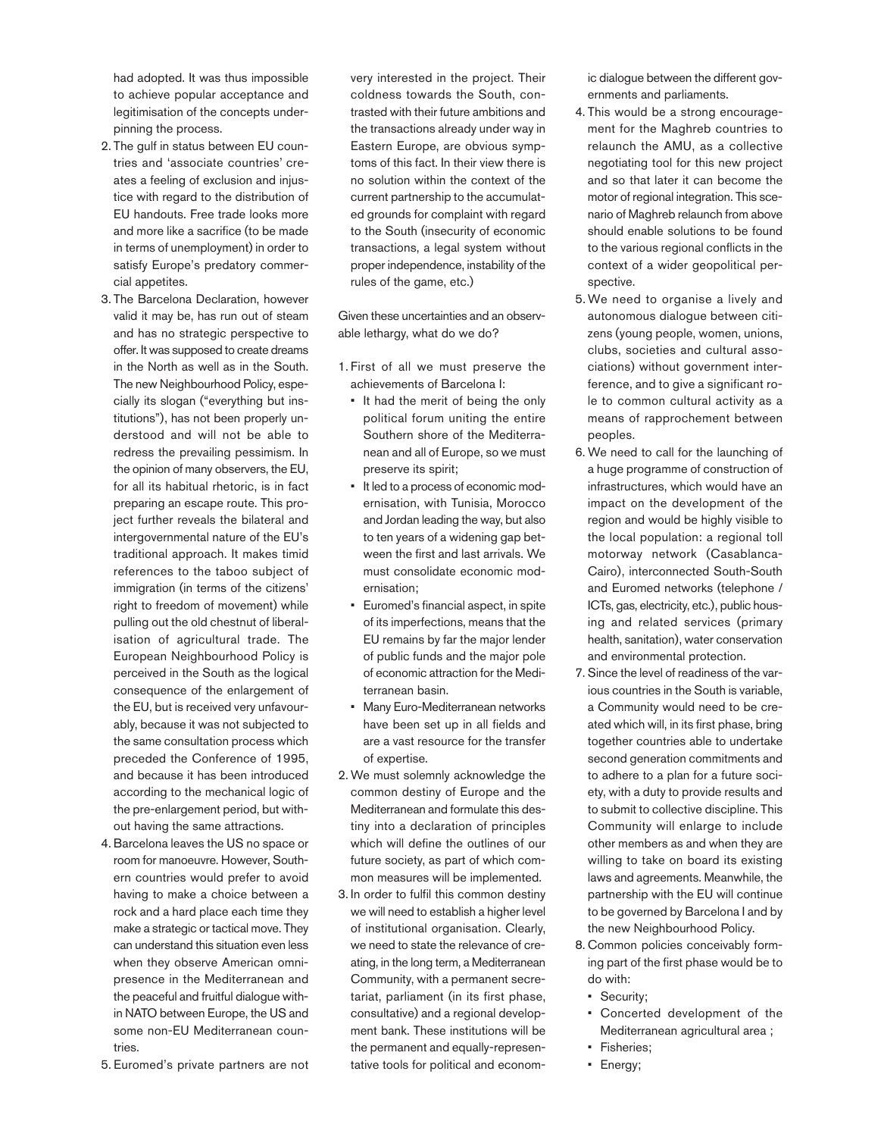had adopted. It was thus impossible to achieve popular acceptance and legitimisation of the concepts underpinning the process.

- 2. The gulf in status between EU countries and 'associate countries' creates a feeling of exclusion and injustice with regard to the distribution of EU handouts. Free trade looks more and more like a sacrifice (to be made in terms of unemployment) in order to satisfy Europe's predatory commercial appetites.
- 3. The Barcelona Declaration, however valid it may be, has run out of steam and has no strategic perspective to offer. It was supposed to create dreams in the North as well as in the South. The new Neighbourhood Policy, especially its slogan ("everything but institutions"), has not been properly understood and will not be able to redress the prevailing pessimism. In the opinion of many observers, the EU, for all its habitual rhetoric, is in fact preparing an escape route. This project further reveals the bilateral and intergovernmental nature of the EU's traditional approach. It makes timid references to the taboo subject of immigration (in terms of the citizens' right to freedom of movement) while pulling out the old chestnut of liberalisation of agricultural trade. The European Neighbourhood Policy is perceived in the South as the logical consequence of the enlargement of the EU, but is received very unfavourably, because it was not subjected to the same consultation process which preceded the Conference of 1995, and because it has been introduced according to the mechanical logic of the pre-enlargement period, but without having the same attractions.
- 4. Barcelona leaves the US no space or room for manoeuvre. However, Southern countries would prefer to avoid having to make a choice between a rock and a hard place each time they make a strategic or tactical move. They can understand this situation even less when they observe American omnipresence in the Mediterranean and the peaceful and fruitful dialogue within NATO between Europe, the US and some non-EU Mediterranean countries.
- 5. Euromed's private partners are not

very interested in the project. Their coldness towards the South, contrasted with their future ambitions and the transactions already under way in Eastern Europe, are obvious symptoms of this fact. In their view there is no solution within the context of the current partnership to the accumulated grounds for complaint with regard to the South (insecurity of economic transactions, a legal system without proper independence, instability of the rules of the game, etc.)

Given these uncertainties and an observable lethargy, what do we do?

- 1. First of all we must preserve the achievements of Barcelona I:
	- It had the merit of being the only political forum uniting the entire Southern shore of the Mediterranean and all of Europe, so we must preserve its spirit;
	- It led to a process of economic modernisation, with Tunisia, Morocco and Jordan leading the way, but also to ten years of a widening gap between the first and last arrivals. We must consolidate economic modernisation;
	- Euromed's financial aspect, in spite of its imperfections, means that the EU remains by far the major lender of public funds and the major pole of economic attraction for the Mediterranean basin.
- Many Euro-Mediterranean networks have been set up in all fields and are a vast resource for the transfer of expertise.
- 2. We must solemnly acknowledge the common destiny of Europe and the Mediterranean and formulate this destiny into a declaration of principles which will define the outlines of our future society, as part of which common measures will be implemented.
- 3. In order to fulfil this common destiny we will need to establish a higher level of institutional organisation. Clearly, we need to state the relevance of creating, in the long term, a Mediterranean Community, with a permanent secretariat, parliament (in its first phase, consultative) and a regional development bank. These institutions will be the permanent and equally-representative tools for political and econom-

ic dialogue between the different governments and parliaments.

- 4. This would be a strong encouragement for the Maghreb countries to relaunch the AMU, as a collective negotiating tool for this new project and so that later it can become the motor of regional integration. This scenario of Maghreb relaunch from above should enable solutions to be found to the various regional conflicts in the context of a wider geopolitical perspective.
- 5. We need to organise a lively and autonomous dialogue between citizens (young people, women, unions, clubs, societies and cultural associations) without government interference, and to give a significant role to common cultural activity as a means of rapprochement between peoples.
- 6. We need to call for the launching of a huge programme of construction of infrastructures, which would have an impact on the development of the region and would be highly visible to the local population: a regional toll motorway network (Casablanca-Cairo), interconnected South-South and Euromed networks (telephone / ICTs, gas, electricity, etc.), public housing and related services (primary health, sanitation), water conservation and environmental protection.
- 7. Since the level of readiness of the various countries in the South is variable, a Community would need to be created which will, in its first phase, bring together countries able to undertake second generation commitments and to adhere to a plan for a future society, with a duty to provide results and to submit to collective discipline. This Community will enlarge to include other members as and when they are willing to take on board its existing laws and agreements. Meanwhile, the partnership with the EU will continue to be governed by Barcelona I and by the new Neighbourhood Policy.
- 8. Common policies conceivably forming part of the first phase would be to do with:
	- Security;
	- Concerted development of the Mediterranean agricultural area ;
	- Fisheries;
	- Energy;